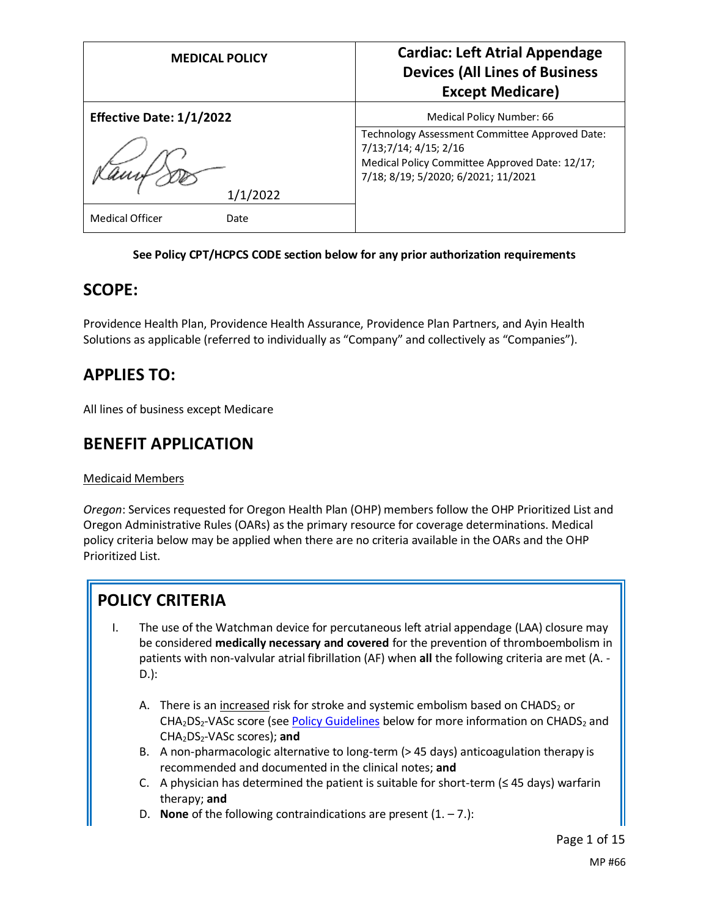| <b>MEDICAL POLICY</b>           | <b>Cardiac: Left Atrial Appendage</b><br><b>Devices (All Lines of Business</b><br><b>Except Medicare)</b>      |
|---------------------------------|----------------------------------------------------------------------------------------------------------------|
| <b>Effective Date: 1/1/2022</b> | Medical Policy Number: 66<br>Technology Assessment Committee Approved Date:                                    |
|                                 | 7/13;7/14; 4/15; 2/16<br>Medical Policy Committee Approved Date: 12/17;<br>7/18; 8/19; 5/2020; 6/2021; 11/2021 |
| 1/1/2022                        |                                                                                                                |
| <b>Medical Officer</b><br>Date  |                                                                                                                |

#### **See Policy CPT/HCPCS CODE section below for any prior authorization requirements**

### **SCOPE:**

Providence Health Plan, Providence Health Assurance, Providence Plan Partners, and Ayin Health Solutions as applicable (referred to individually as "Company" and collectively as "Companies").

## **APPLIES TO:**

All lines of business except Medicare

### **BENEFIT APPLICATION**

#### Medicaid Members

*Oregon*: Services requested for Oregon Health Plan (OHP) members follow the OHP Prioritized List and Oregon Administrative Rules (OARs) as the primary resource for coverage determinations. Medical policy criteria below may be applied when there are no criteria available in the OARs and the OHP Prioritized List.

# **POLICY CRITERIA**

- I. The use of the Watchman device for percutaneous left atrial appendage (LAA) closure may be considered **medically necessary and covered** for the prevention of thromboembolism in patients with non-valvular atrial fibrillation (AF) when **all** the following criteria are met (A. - D.):
	- A. There is an increased risk for stroke and systemic embolism based on CHADS<sub>2</sub> or  $CHA<sub>2</sub>DS<sub>2</sub>-VASC score (see Policy Guidelines below for more information on CHADS<sub>2</sub> and$  $CHA<sub>2</sub>DS<sub>2</sub>-VASC score (see Policy Guidelines below for more information on CHADS<sub>2</sub> and$  $CHA<sub>2</sub>DS<sub>2</sub>-VASC score (see Policy Guidelines below for more information on CHADS<sub>2</sub> and$ CHA2DS2-VASc scores); **and**
	- B. A non-pharmacologic alternative to long-term (> 45 days) anticoagulation therapy is recommended and documented in the clinical notes; **and**
	- C. A physician has determined the patient is suitable for short-term ( $\leq$  45 days) warfarin therapy; **and**
	- D. **None** of the following contraindications are present  $(1, -7)$ :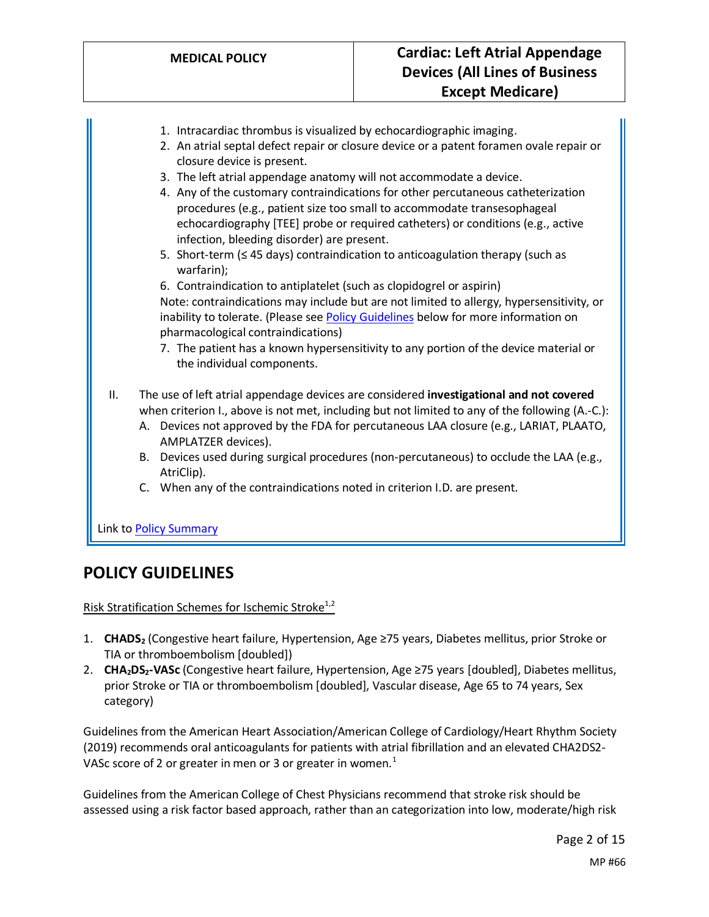- 1. Intracardiac thrombus is visualized by echocardiographic imaging.
- 2. An atrial septal defect repair or closure device or a patent foramen ovale repair or closure device is present.
- 3. The left atrial appendage anatomy will not accommodate a device.
- 4. Any of the customary contraindications for other percutaneous catheterization procedures (e.g., patient size too small to accommodate transesophageal echocardiography [TEE] probe or required catheters) or conditions (e.g., active infection, bleeding disorder) are present.
- 5. Short-term (≤ 45 days) contraindication to anticoagulation therapy (such as warfarin);

6. Contraindication to antiplatelet (such as clopidogrel or aspirin) Note: contraindications may include but are not limited to allergy, hypersensitivity, or inability to tolerate. (Please se[e Policy Guidelines](#page-2-0) below for more information on pharmacological contraindications)

7. The patient has a known hypersensitivity to any portion of the device material or the individual components.

#### II. The use of left atrial appendage devices are considered **investigational and not covered** when criterion I., above is not met, including but not limited to any of the following (A.-C.):

- A. Devices not approved by the FDA for percutaneous LAA closure (e.g., LARIAT, PLAATO, AMPLATZER devices).
- B. Devices used during surgical procedures (non-percutaneous) to occlude the LAA (e.g., AtriClip).
- C. When any of the contraindications noted in criterion I.D. are present.

Link t[o Policy Summary](#page-11-0)

### **POLICY GUIDELINES**

<span id="page-1-0"></span>Risk Stratification Schemes for Ischemic Stroke<sup>1,2</sup>

- 1. **CHADS<sup>2</sup>** (Congestive heart failure, Hypertension, Age ≥75 years, Diabetes mellitus, prior Stroke or TIA or thromboembolism [doubled])
- 2. **CHA2DS2-VASc** (Congestive heart failure, Hypertension, Age ≥75 years [doubled], Diabetes mellitus, prior Stroke or TIA or thromboembolism [doubled], Vascular disease, Age 65 to 74 years, Sex category)

Guidelines from the American Heart Association/American College of Cardiology/Heart Rhythm Society (2019) recommends oral anticoagulants for patients with atrial fibrillation and an elevated CHA2DS2- VASc score of 2 or greater in men or 3 or greater in women. $<sup>1</sup>$ </sup>

Guidelines from the American College of Chest Physicians recommend that stroke risk should be assessed using a risk factor based approach, rather than an categorization into low, moderate/high risk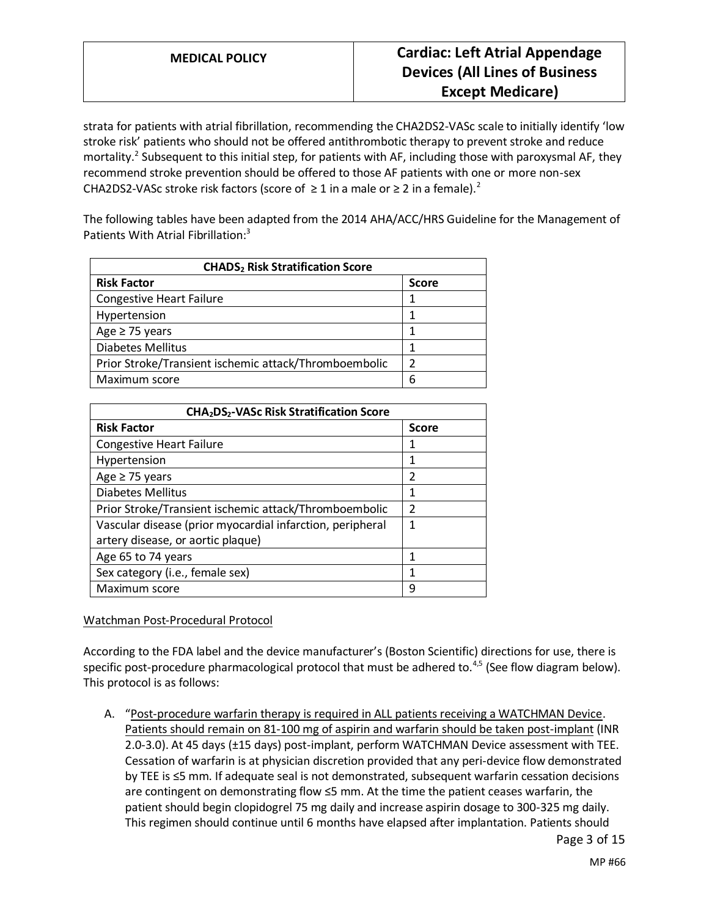strata for patients with atrial fibrillation, recommending the CHA2DS2-VASc scale to initially identify 'low stroke risk' patients who should not be offered antithrombotic therapy to prevent stroke and reduce mortality.<sup>2</sup> Subsequent to this initial step, for patients with AF, including those with paroxysmal AF, they recommend stroke prevention should be offered to those AF patients with one or more non-sex CHA2DS2-VASc stroke risk factors (score of  $\geq 1$  in a male or  $\geq 2$  in a female).<sup>2</sup>

The following tables have been adapted from the 2014 AHA/ACC/HRS Guideline for the Management of Patients With Atrial Fibrillation:<sup>3</sup>

| <b>CHADS<sub>2</sub> Risk Stratification Score</b>    |               |
|-------------------------------------------------------|---------------|
| <b>Risk Factor</b>                                    | <b>Score</b>  |
| <b>Congestive Heart Failure</b>                       |               |
| Hypertension                                          |               |
| Age $\geq$ 75 years                                   |               |
| <b>Diabetes Mellitus</b>                              |               |
| Prior Stroke/Transient ischemic attack/Thromboembolic | $\mathcal{P}$ |
| Maximum score                                         | 6             |

| CHA <sub>2</sub> DS <sub>2</sub> -VASc Risk Stratification Score |                |  |
|------------------------------------------------------------------|----------------|--|
| <b>Risk Factor</b>                                               | <b>Score</b>   |  |
| <b>Congestive Heart Failure</b>                                  | 1              |  |
| Hypertension                                                     | 1              |  |
| Age $\geq$ 75 years                                              | 2              |  |
| Diabetes Mellitus                                                | 1              |  |
| Prior Stroke/Transient ischemic attack/Thromboembolic            | $\overline{2}$ |  |
| Vascular disease (prior myocardial infarction, peripheral        | 1              |  |
| artery disease, or aortic plaque)                                |                |  |
| Age 65 to 74 years                                               | 1              |  |
| Sex category (i.e., female sex)                                  | 1              |  |
| Maximum score                                                    | 9              |  |

#### <span id="page-2-0"></span>Watchman Post-Procedural Protocol

According to the FDA label and the device manufacturer's (Boston Scientific) directions for use, there is specific post-procedure pharmacological protocol that must be adhered to. $4,5$  (See flow diagram below). This protocol is as follows:

A. "Post-procedure warfarin therapy is required in ALL patients receiving a WATCHMAN Device. Patients should remain on 81-100 mg of aspirin and warfarin should be taken post-implant (INR 2.0-3.0). At 45 days (±15 days) post-implant, perform WATCHMAN Device assessment with TEE. Cessation of warfarin is at physician discretion provided that any peri-device flow demonstrated by TEE is ≤5 mm. If adequate seal is not demonstrated, subsequent warfarin cessation decisions are contingent on demonstrating flow ≤5 mm. At the time the patient ceases warfarin, the patient should begin clopidogrel 75 mg daily and increase aspirin dosage to 300-325 mg daily. This regimen should continue until 6 months have elapsed after implantation. Patients should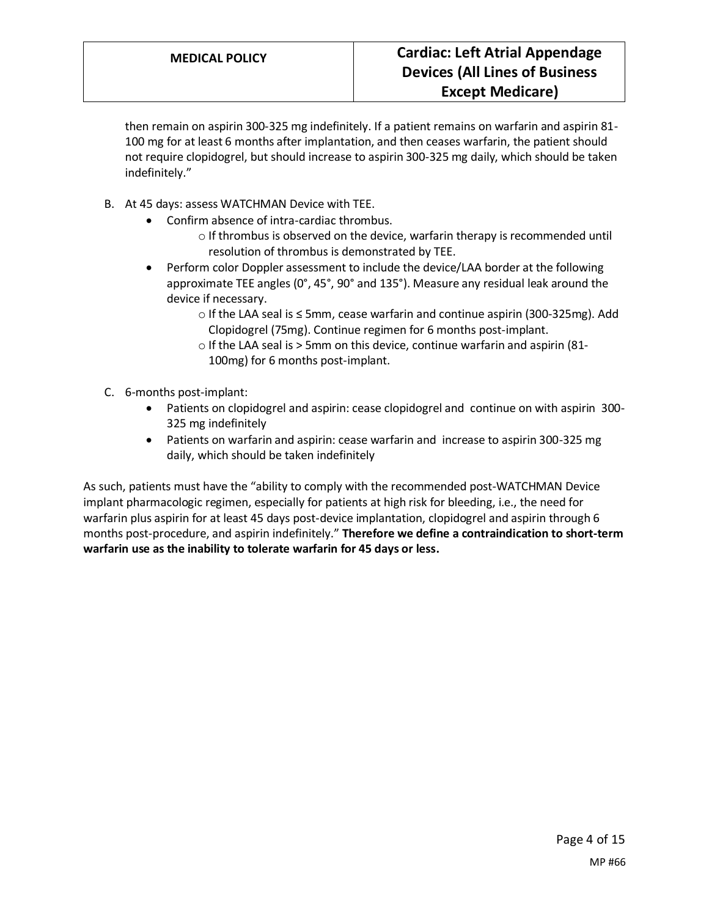then remain on aspirin 300-325 mg indefinitely. If a patient remains on warfarin and aspirin 81- 100 mg for at least 6 months after implantation, and then ceases warfarin, the patient should not require clopidogrel, but should increase to aspirin 300-325 mg daily, which should be taken indefinitely."

- B. At 45 days: assess WATCHMAN Device with TEE.
	- Confirm absence of intra-cardiac thrombus.
		- o If thrombus is observed on the device, warfarin therapy is recommended until resolution of thrombus is demonstrated by TEE.
	- Perform color Doppler assessment to include the device/LAA border at the following approximate TEE angles (0°, 45°, 90° and 135°). Measure any residual leak around the device if necessary.
		- o If the LAA seal is ≤ 5mm, cease warfarin and continue aspirin (300-325mg). Add Clopidogrel (75mg). Continue regimen for 6 months post-implant.
		- o If the LAA seal is > 5mm on this device, continue warfarin and aspirin (81- 100mg) for 6 months post-implant.
- C. 6-months post-implant:
	- Patients on clopidogrel and aspirin: cease clopidogrel and continue on with aspirin 300- 325 mg indefinitely
	- Patients on warfarin and aspirin: cease warfarin and increase to aspirin 300-325 mg daily, which should be taken indefinitely

As such, patients must have the "ability to comply with the recommended post-WATCHMAN Device implant pharmacologic regimen, especially for patients at high risk for bleeding, i.e., the need for warfarin plus aspirin for at least 45 days post-device implantation, clopidogrel and aspirin through 6 months post-procedure, and aspirin indefinitely." **Therefore we define a contraindication to short-term warfarin use as the inability to tolerate warfarin for 45 days or less.**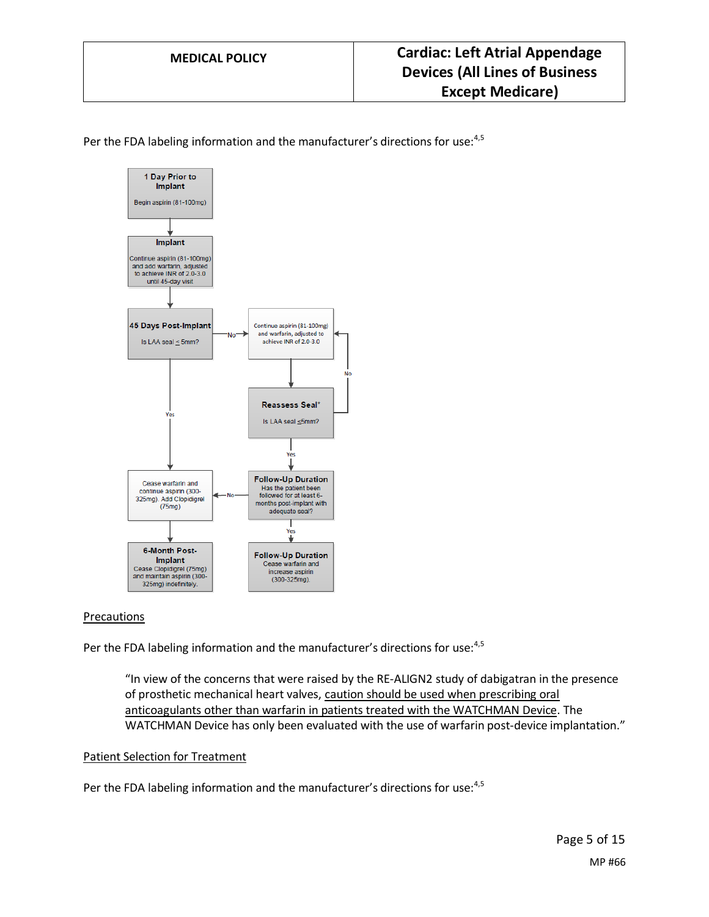Per the FDA labeling information and the manufacturer's directions for use:<sup>4,5</sup>



#### Precautions

Per the FDA labeling information and the manufacturer's directions for use:<sup>4,5</sup>

"In view of the concerns that were raised by the RE-ALIGN2 study of dabigatran in the presence of prosthetic mechanical heart valves, caution should be used when prescribing oral anticoagulants other than warfarin in patients treated with the WATCHMAN Device. The WATCHMAN Device has only been evaluated with the use of warfarin post-device implantation."

#### Patient Selection for Treatment

Per the FDA labeling information and the manufacturer's directions for use:<sup>4,5</sup>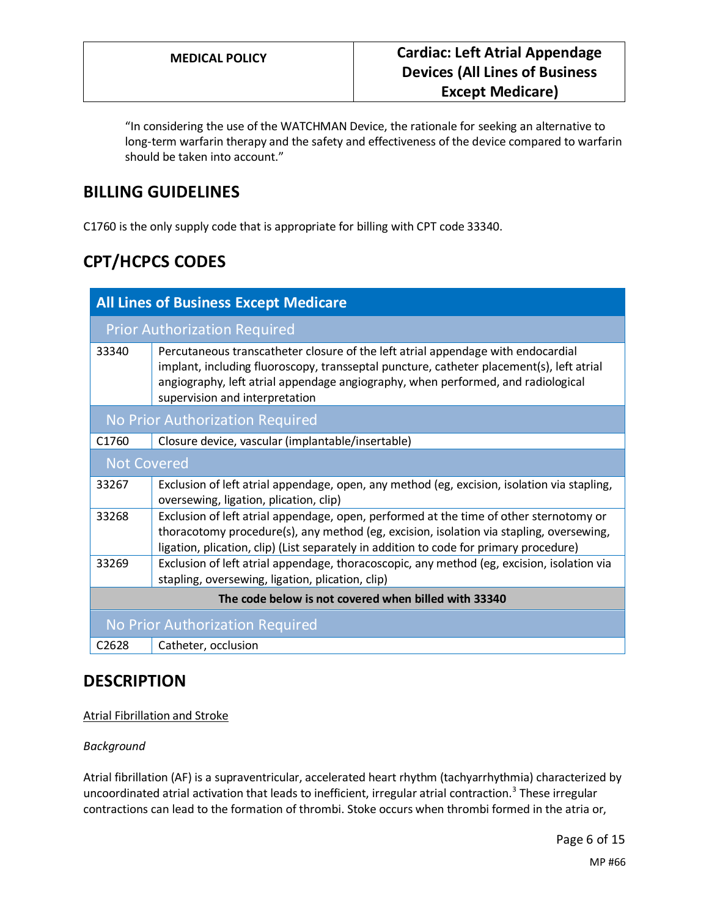"In considering the use of the WATCHMAN Device, the rationale for seeking an alternative to long-term warfarin therapy and the safety and effectiveness of the device compared to warfarin should be taken into account."

# **BILLING GUIDELINES**

C1760 is the only supply code that is appropriate for billing with CPT code 33340.

# **CPT/HCPCS CODES**

| <b>All Lines of Business Except Medicare</b>         |                                                                                                                                                                                                                                                                                                    |
|------------------------------------------------------|----------------------------------------------------------------------------------------------------------------------------------------------------------------------------------------------------------------------------------------------------------------------------------------------------|
| <b>Prior Authorization Required</b>                  |                                                                                                                                                                                                                                                                                                    |
| 33340                                                | Percutaneous transcatheter closure of the left atrial appendage with endocardial<br>implant, including fluoroscopy, transseptal puncture, catheter placement(s), left atrial<br>angiography, left atrial appendage angiography, when performed, and radiological<br>supervision and interpretation |
| <b>No Prior Authorization Required</b>               |                                                                                                                                                                                                                                                                                                    |
| C <sub>1760</sub>                                    | Closure device, vascular (implantable/insertable)                                                                                                                                                                                                                                                  |
| <b>Not Covered</b>                                   |                                                                                                                                                                                                                                                                                                    |
| 33267                                                | Exclusion of left atrial appendage, open, any method (eg, excision, isolation via stapling,<br>oversewing, ligation, plication, clip)                                                                                                                                                              |
| 33268                                                | Exclusion of left atrial appendage, open, performed at the time of other sternotomy or<br>thoracotomy procedure(s), any method (eg, excision, isolation via stapling, oversewing,<br>ligation, plication, clip) (List separately in addition to code for primary procedure)                        |
| 33269                                                | Exclusion of left atrial appendage, thoracoscopic, any method (eg, excision, isolation via<br>stapling, oversewing, ligation, plication, clip)                                                                                                                                                     |
| The code below is not covered when billed with 33340 |                                                                                                                                                                                                                                                                                                    |
| No Prior Authorization Required                      |                                                                                                                                                                                                                                                                                                    |
| C <sub>2628</sub>                                    | Catheter, occlusion                                                                                                                                                                                                                                                                                |

### **DESCRIPTION**

#### Atrial Fibrillation and Stroke

#### *Background*

Atrial fibrillation (AF) is a supraventricular, accelerated heart rhythm (tachyarrhythmia) characterized by uncoordinated atrial activation that leads to inefficient, irregular atrial contraction.<sup>3</sup> These irregular contractions can lead to the formation of thrombi. Stoke occurs when thrombi formed in the atria or,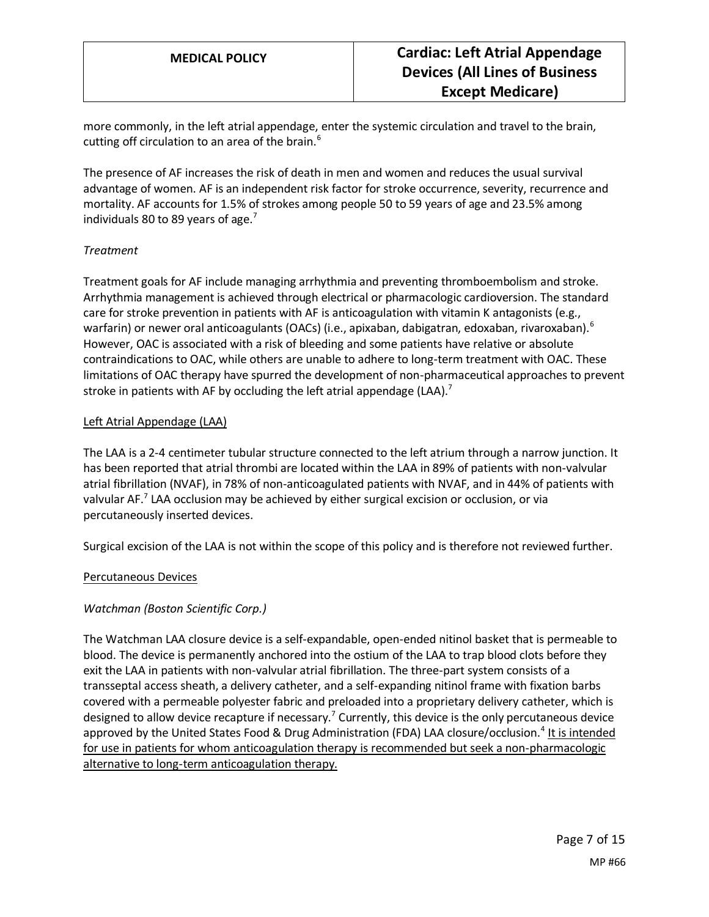more commonly, in the left atrial appendage, enter the systemic circulation and travel to the brain, cutting off circulation to an area of the brain. $6$ 

The presence of AF increases the risk of death in men and women and reduces the usual survival advantage of women. AF is an independent risk factor for stroke occurrence, severity, recurrence and mortality. AF accounts for 1.5% of strokes among people 50 to 59 years of age and 23.5% among individuals 80 to 89 years of age.<sup>7</sup>

#### *Treatment*

Treatment goals for AF include managing arrhythmia and preventing thromboembolism and stroke. Arrhythmia management is achieved through electrical or pharmacologic cardioversion. The standard care for stroke prevention in patients with AF is anticoagulation with vitamin K antagonists (e.g., warfarin) or newer oral anticoagulants (OACs) (i.e., apixaban, dabigatran, edoxaban, rivaroxaban).<sup>6</sup> However, OAC is associated with a risk of bleeding and some patients have relative or absolute contraindications to OAC, while others are unable to adhere to long-term treatment with OAC. These limitations of OAC therapy have spurred the development of non-pharmaceutical approaches to prevent stroke in patients with AF by occluding the left atrial appendage (LAA).<sup>7</sup>

#### Left Atrial Appendage (LAA)

The LAA is a 2-4 centimeter tubular structure connected to the left atrium through a narrow junction. It has been reported that atrial thrombi are located within the LAA in 89% of patients with non-valvular atrial fibrillation (NVAF), in 78% of non-anticoagulated patients with NVAF, and in 44% of patients with valvular AF.<sup>7</sup> LAA occlusion may be achieved by either surgical excision or occlusion, or via percutaneously inserted devices.

Surgical excision of the LAA is not within the scope of this policy and is therefore not reviewed further.

#### Percutaneous Devices

#### *Watchman (Boston Scientific Corp.)*

The Watchman LAA closure device is a self-expandable, open-ended nitinol basket that is permeable to blood. The device is permanently anchored into the ostium of the LAA to trap blood clots before they exit the LAA in patients with non-valvular atrial fibrillation. The three-part system consists of a transseptal access sheath, a delivery catheter, and a self-expanding nitinol frame with fixation barbs covered with a permeable polyester fabric and preloaded into a proprietary delivery catheter, which is designed to allow device recapture if necessary.<sup>7</sup> Currently, this device is the only percutaneous device approved by the United States Food & Drug Administration (FDA) LAA closure/occlusion.<sup>4</sup> It is intended for use in patients for whom anticoagulation therapy is recommended but seek a non-pharmacologic alternative to long-term anticoagulation therapy.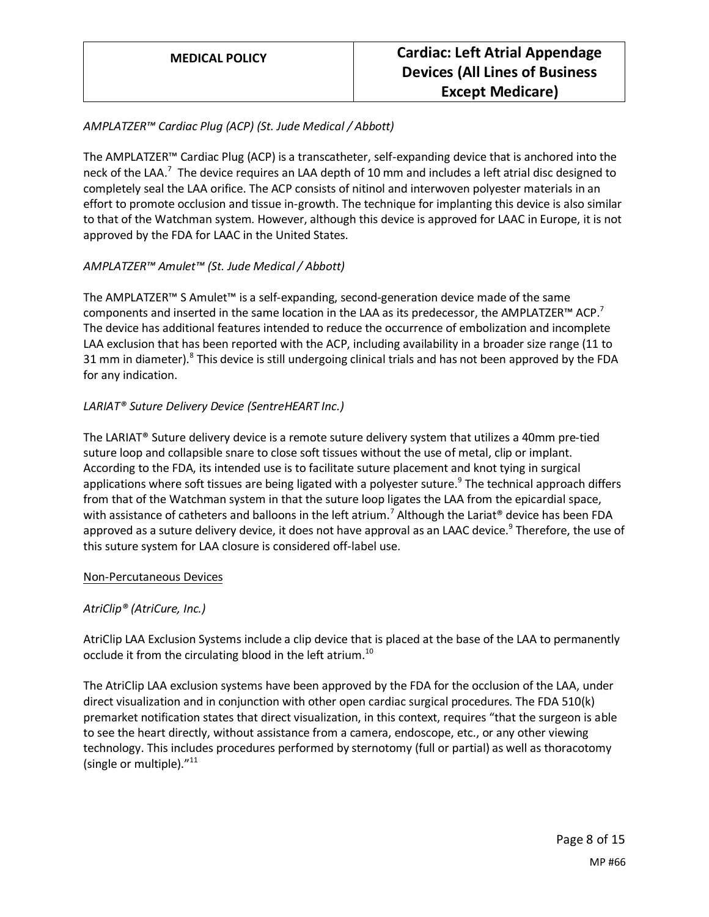#### *AMPLATZER™ Cardiac Plug (ACP) (St. Jude Medical / Abbott)*

The AMPLATZER™ Cardiac Plug (ACP) is a transcatheter, self-expanding device that is anchored into the neck of the LAA.<sup>7</sup> The device requires an LAA depth of 10 mm and includes a left atrial disc designed to completely seal the LAA orifice. The ACP consists of nitinol and interwoven polyester materials in an effort to promote occlusion and tissue in-growth. The technique for implanting this device is also similar to that of the Watchman system. However, although this device is approved for LAAC in Europe, it is not approved by the FDA for LAAC in the United States.

#### *AMPLATZER™ Amulet™ (St. Jude Medical / Abbott)*

The AMPLATZER™ S Amulet™ is a self-expanding, second-generation device made of the same components and inserted in the same location in the LAA as its predecessor, the AMPLATZER<sup>™</sup> ACP.<sup>7</sup> The device has additional features intended to reduce the occurrence of embolization and incomplete LAA exclusion that has been reported with the ACP, including availability in a broader size range (11 to 31 mm in diameter).<sup>8</sup> This device is still undergoing clinical trials and has not been approved by the FDA for any indication.

#### *LARIAT® Suture Delivery Device (SentreHEART Inc.)*

The LARIAT® Suture delivery device is a remote suture delivery system that utilizes a 40mm pre-tied suture loop and collapsible snare to close soft tissues without the use of metal, clip or implant. According to the FDA, its intended use is to facilitate suture placement and knot tying in surgical applications where soft tissues are being ligated with a polyester suture.<sup>9</sup> The technical approach differs from that of the Watchman system in that the suture loop ligates the LAA from the epicardial space, with assistance of catheters and balloons in the left atrium.<sup>7</sup> Although the Lariat<sup>®</sup> device has been FDA approved as a suture delivery device, it does not have approval as an LAAC device.<sup>9</sup> Therefore, the use of this suture system for LAA closure is considered off-label use.

#### Non-Percutaneous Devices

#### *AtriClip® (AtriCure, Inc.)*

AtriClip LAA Exclusion Systems include a clip device that is placed at the base of the LAA to permanently occlude it from the circulating blood in the left atrium.<sup>10</sup>

The AtriClip LAA exclusion systems have been approved by the FDA for the occlusion of the LAA, under direct visualization and in conjunction with other open cardiac surgical procedures. The FDA 510(k) premarket notification states that direct visualization, in this context, requires "that the surgeon is able to see the heart directly, without assistance from a camera, endoscope, etc., or any other viewing technology. This includes procedures performed by sternotomy (full or partial) as well as thoracotomy (single or multiple)."<sup>11</sup>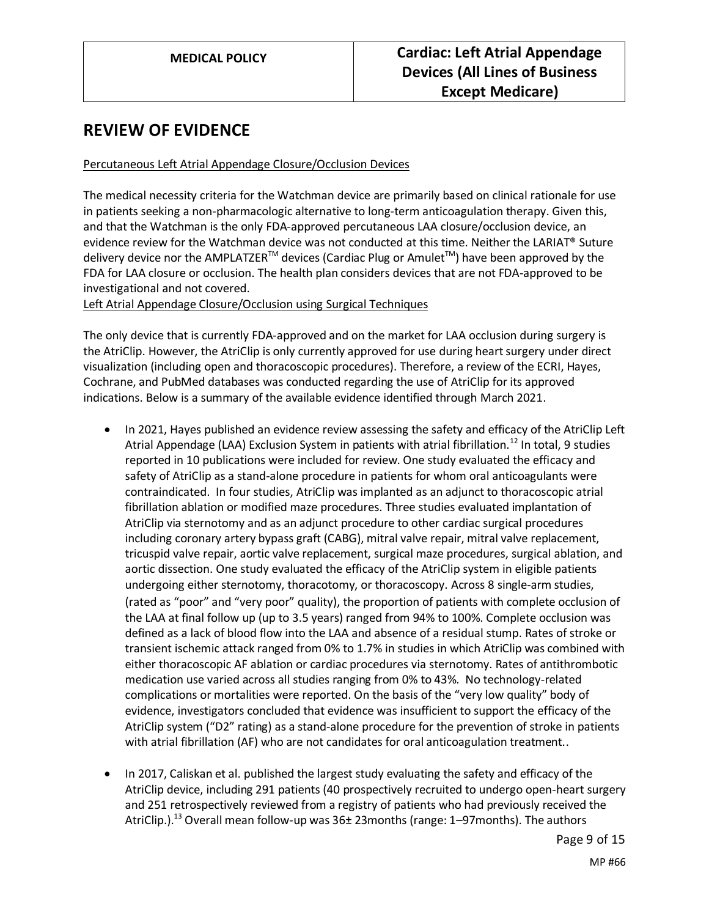### **REVIEW OF EVIDENCE**

#### Percutaneous Left Atrial Appendage Closure/Occlusion Devices

The medical necessity criteria for the Watchman device are primarily based on clinical rationale for use in patients seeking a non-pharmacologic alternative to long-term anticoagulation therapy. Given this, and that the Watchman is the only FDA-approved percutaneous LAA closure/occlusion device, an evidence review for the Watchman device was not conducted at this time. Neither the LARIAT® Suture delivery device nor the AMPLATZER<sup>™</sup> devices (Cardiac Plug or Amulet<sup>™</sup>) have been approved by the FDA for LAA closure or occlusion. The health plan considers devices that are not FDA-approved to be investigational and not covered.

Left Atrial Appendage Closure/Occlusion using Surgical Techniques

The only device that is currently FDA-approved and on the market for LAA occlusion during surgery is the AtriClip. However, the AtriClip is only currently approved for use during heart surgery under direct visualization (including open and thoracoscopic procedures). Therefore, a review of the ECRI, Hayes, Cochrane, and PubMed databases was conducted regarding the use of AtriClip for its approved indications. Below is a summary of the available evidence identified through March 2021.

- In 2021, Hayes published an evidence review assessing the safety and efficacy of the AtriClip Left Atrial Appendage (LAA) Exclusion System in patients with atrial fibrillation.<sup>12</sup> In total, 9 studies reported in 10 publications were included for review. One study evaluated the efficacy and safety of AtriClip as a stand-alone procedure in patients for whom oral anticoagulants were contraindicated. In four studies, AtriClip was implanted as an adjunct to thoracoscopic atrial fibrillation ablation or modified maze procedures. Three studies evaluated implantation of AtriClip via sternotomy and as an adjunct procedure to other cardiac surgical procedures including coronary artery bypass graft (CABG), mitral valve repair, mitral valve replacement, tricuspid valve repair, aortic valve replacement, surgical maze procedures, surgical ablation, and aortic dissection. One study evaluated the efficacy of the AtriClip system in eligible patients undergoing either sternotomy, thoracotomy, or thoracoscopy. Across 8 single-arm studies, (rated as "poor" and "very poor" quality), the proportion of patients with complete occlusion of the LAA at final follow up (up to 3.5 years) ranged from 94% to 100%. Complete occlusion was defined as a lack of blood flow into the LAA and absence of a residual stump. Rates of stroke or transient ischemic attack ranged from 0% to 1.7% in studies in which AtriClip was combined with either thoracoscopic AF ablation or cardiac procedures via sternotomy. Rates of antithrombotic medication use varied across all studies ranging from 0% to 43%. No technology-related complications or mortalities were reported. On the basis of the "very low quality" body of evidence, investigators concluded that evidence was insufficient to support the efficacy of the AtriClip system ("D2" rating) as a stand-alone procedure for the prevention of stroke in patients with atrial fibrillation (AF) who are not candidates for oral anticoagulation treatment..
- In 2017, Caliskan et al. published the largest study evaluating the safety and efficacy of the AtriClip device, including 291 patients (40 prospectively recruited to undergo open-heart surgery and 251 retrospectively reviewed from a registry of patients who had previously received the AtriClip.).<sup>13</sup> Overall mean follow-up was 36± 23months (range: 1–97months). The authors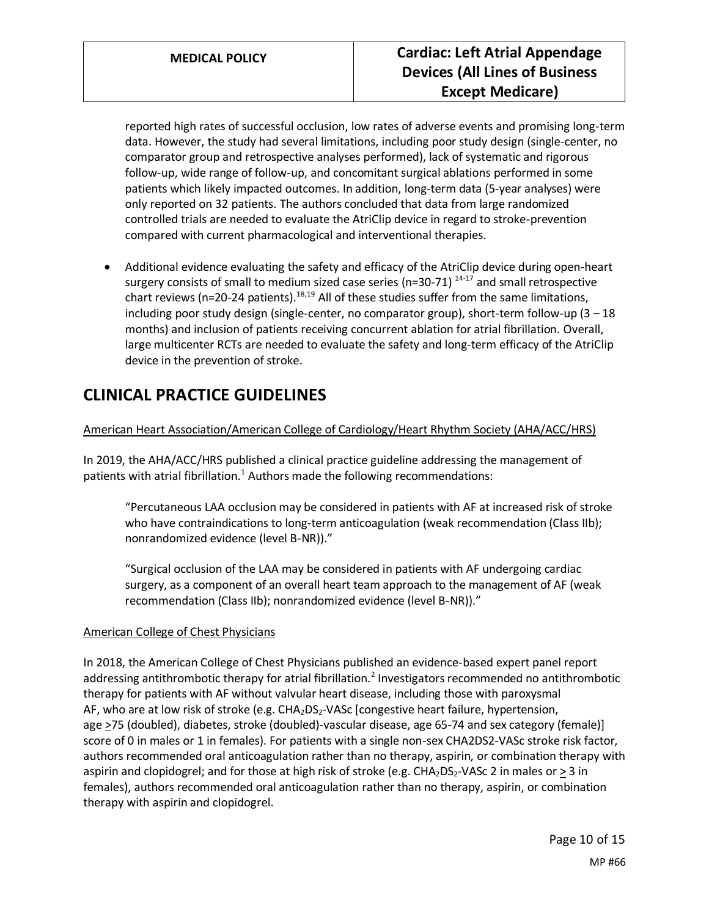reported high rates of successful occlusion, low rates of adverse events and promising long-term data. However, the study had several limitations, including poor study design (single-center, no comparator group and retrospective analyses performed), lack of systematic and rigorous follow-up, wide range of follow-up, and concomitant surgical ablations performed in some patients which likely impacted outcomes. In addition, long-term data (5-year analyses) were only reported on 32 patients. The authors concluded that data from large randomized controlled trials are needed to evaluate the AtriClip device in regard to stroke-prevention compared with current pharmacological and interventional therapies.

• Additional evidence evaluating the safety and efficacy of the AtriClip device during open-heart surgery consists of small to medium sized case series (n=30-71) <sup>14-17</sup> and small retrospective chart reviews (n=20-24 patients).<sup>18,19</sup> All of these studies suffer from the same limitations, including poor study design (single-center, no comparator group), short-term follow-up  $(3 - 18)$ months) and inclusion of patients receiving concurrent ablation for atrial fibrillation. Overall, large multicenter RCTs are needed to evaluate the safety and long-term efficacy of the AtriClip device in the prevention of stroke.

# **CLINICAL PRACTICE GUIDELINES**

#### American Heart Association/American College of Cardiology/Heart Rhythm Society (AHA/ACC/HRS)

In 2019, the AHA/ACC/HRS published a clinical practice guideline addressing the management of patients with atrial fibrillation.<sup>1</sup> Authors made the following recommendations:

"Percutaneous LAA occlusion may be considered in patients with AF at increased risk of stroke who have contraindications to long-term anticoagulation (weak recommendation (Class IIb); nonrandomized evidence (level B-NR))."

"Surgical occlusion of the LAA may be considered in patients with AF undergoing cardiac surgery, as a component of an overall heart team approach to the management of AF (weak recommendation (Class IIb); nonrandomized evidence (level B-NR))."

#### American College of Chest Physicians

In 2018, the American College of Chest Physicians published an evidence-based expert panel report addressing antithrombotic therapy for atrial fibrillation.<sup>2</sup> Investigators recommended no antithrombotic therapy for patients with AF without valvular heart disease, including those with paroxysmal AF, who are at low risk of stroke (e.g.  $CHA<sub>2</sub>DS<sub>2</sub>-VASc$  [congestive heart failure, hypertension, age >75 (doubled), diabetes, stroke (doubled)-vascular disease, age 65-74 and sex category (female)] score of 0 in males or 1 in females). For patients with a single non-sex CHA2DS2-VASc stroke risk factor, authors recommended oral anticoagulation rather than no therapy, aspirin, or combination therapy with aspirin and clopidogrel; and for those at high risk of stroke (e.g.  $CHA<sub>2</sub>DS<sub>2</sub>-VASc 2$  in males or > 3 in females), authors recommended oral anticoagulation rather than no therapy, aspirin, or combination therapy with aspirin and clopidogrel.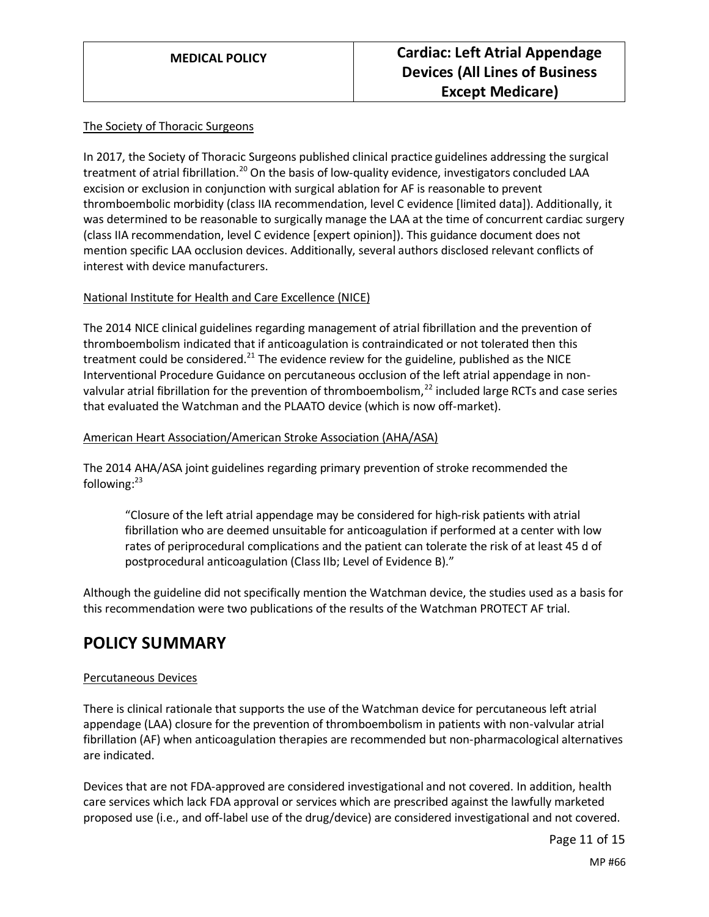#### The Society of Thoracic Surgeons

In 2017, the Society of Thoracic Surgeons published clinical practice guidelines addressing the surgical treatment of atrial fibrillation.<sup>20</sup> On the basis of low-quality evidence, investigators concluded LAA excision or exclusion in conjunction with surgical ablation for AF is reasonable to prevent thromboembolic morbidity (class IIA recommendation, level C evidence [limited data]). Additionally, it was determined to be reasonable to surgically manage the LAA at the time of concurrent cardiac surgery (class IIA recommendation, level C evidence [expert opinion]). This guidance document does not mention specific LAA occlusion devices. Additionally, several authors disclosed relevant conflicts of interest with device manufacturers.

#### National Institute for Health and Care Excellence (NICE)

The 2014 NICE clinical guidelines regarding management of atrial fibrillation and the prevention of thromboembolism indicated that if anticoagulation is contraindicated or not tolerated then this treatment could be considered.<sup>21</sup> The evidence review for the guideline, published as the NICE Interventional Procedure Guidance on percutaneous occlusion of the left atrial appendage in nonvalvular atrial fibrillation for the prevention of thromboembolism, $^{22}$  included large RCTs and case series that evaluated the Watchman and the PLAATO device (which is now off-market).

#### American Heart Association/American Stroke Association (AHA/ASA)

The 2014 AHA/ASA joint guidelines regarding primary prevention of stroke recommended the following: $^{23}$ 

"Closure of the left atrial appendage may be considered for high-risk patients with atrial fibrillation who are deemed unsuitable for anticoagulation if performed at a center with low rates of periprocedural complications and the patient can tolerate the risk of at least 45 d of postprocedural anticoagulation (Class IIb; Level of Evidence B)."

Although the guideline did not specifically mention the Watchman device, the studies used as a basis for this recommendation were two publications of the results of the Watchman PROTECT AF trial.

### **POLICY SUMMARY**

#### Percutaneous Devices

There is clinical rationale that supports the use of the Watchman device for percutaneous left atrial appendage (LAA) closure for the prevention of thromboembolism in patients with non-valvular atrial fibrillation (AF) when anticoagulation therapies are recommended but non-pharmacological alternatives are indicated.

Devices that are not FDA-approved are considered investigational and not covered. In addition, health care services which lack FDA approval or services which are prescribed against the lawfully marketed proposed use (i.e., and off-label use of the drug/device) are considered investigational and not covered.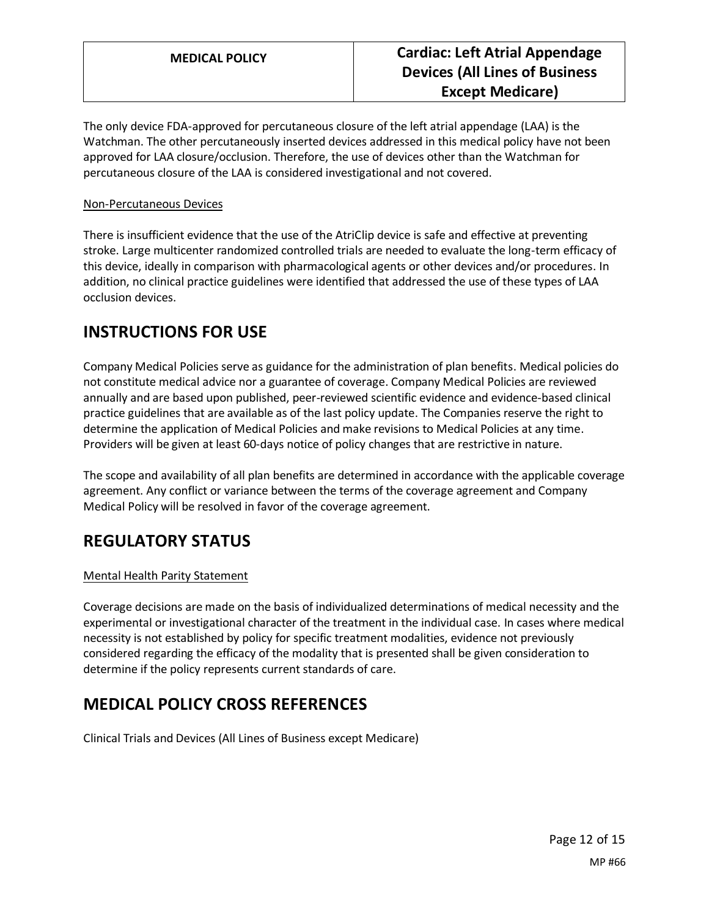The only device FDA-approved for percutaneous closure of the left atrial appendage (LAA) is the Watchman. The other percutaneously inserted devices addressed in this medical policy have not been approved for LAA closure/occlusion. Therefore, the use of devices other than the Watchman for percutaneous closure of the LAA is considered investigational and not covered.

#### Non-Percutaneous Devices

There is insufficient evidence that the use of the AtriClip device is safe and effective at preventing stroke. Large multicenter randomized controlled trials are needed to evaluate the long-term efficacy of this device, ideally in comparison with pharmacological agents or other devices and/or procedures. In addition, no clinical practice guidelines were identified that addressed the use of these types of LAA occlusion devices.

### <span id="page-11-0"></span>**INSTRUCTIONS FOR USE**

Company Medical Policies serve as guidance for the administration of plan benefits. Medical policies do not constitute medical advice nor a guarantee of coverage. Company Medical Policies are reviewed annually and are based upon published, peer-reviewed scientific evidence and evidence-based clinical practice guidelines that are available as of the last policy update. The Companies reserve the right to determine the application of Medical Policies and make revisions to Medical Policies at any time. Providers will be given at least 60-days notice of policy changes that are restrictive in nature.

The scope and availability of all plan benefits are determined in accordance with the applicable coverage agreement. Any conflict or variance between the terms of the coverage agreement and Company Medical Policy will be resolved in favor of the coverage agreement.

# **REGULATORY STATUS**

#### Mental Health Parity Statement

Coverage decisions are made on the basis of individualized determinations of medical necessity and the experimental or investigational character of the treatment in the individual case. In cases where medical necessity is not established by policy for specific treatment modalities, evidence not previously considered regarding the efficacy of the modality that is presented shall be given consideration to determine if the policy represents current standards of care.

# **MEDICAL POLICY CROSS REFERENCES**

Clinical Trials and Devices (All Lines of Business except Medicare)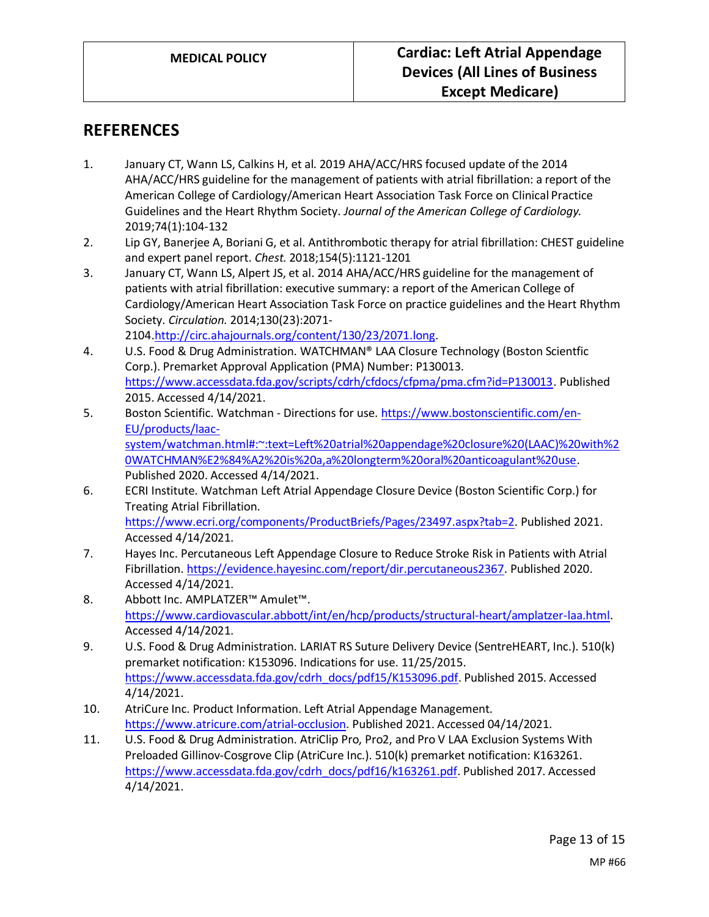### **REFERENCES**

- 1. January CT, Wann LS, Calkins H, et al. 2019 AHA/ACC/HRS focused update of the 2014 AHA/ACC/HRS guideline for the management of patients with atrial fibrillation: a report of the American College of Cardiology/American Heart Association Task Force on Clinical Practice Guidelines and the Heart Rhythm Society. *Journal of the American College of Cardiology.*  2019;74(1):104-132
- 2. Lip GY, Banerjee A, Boriani G, et al. Antithrombotic therapy for atrial fibrillation: CHEST guideline and expert panel report. *Chest.* 2018;154(5):1121-1201
- 3. January CT, Wann LS, Alpert JS, et al. 2014 AHA/ACC/HRS guideline for the management of patients with atrial fibrillation: executive summary: a report of the American College of Cardiology/American Heart Association Task Force on practice guidelines and the Heart Rhythm Society. *Circulation.* 2014;130(23):2071- 2104[.http://circ.ahajournals.org/content/130/23/2071.long.](http://circ.ahajournals.org/content/130/23/2071.long)
- 4. U.S. Food & Drug Administration. WATCHMAN® LAA Closure Technology (Boston Scientfic Corp.). Premarket Approval Application (PMA) Number: P130013. [https://www.accessdata.fda.gov/scripts/cdrh/cfdocs/cfpma/pma.cfm?id=P130013.](https://www.accessdata.fda.gov/scripts/cdrh/cfdocs/cfpma/pma.cfm?id=P130013) Published 2015. Accessed 4/14/2021.
- 5. Boston Scientific. Watchman Directions for use. [https://www.bostonscientific.com/en-](https://www.bostonscientific.com/en-EU/products/laac-system/watchman.html#:~:text=Left%20atrial%20appendage%20closure%20(LAAC)%20with%20WATCHMAN%E2%84%A2%20is%20a,a%20longterm%20oral%20anticoagulant%20use)[EU/products/laac](https://www.bostonscientific.com/en-EU/products/laac-system/watchman.html#:~:text=Left%20atrial%20appendage%20closure%20(LAAC)%20with%20WATCHMAN%E2%84%A2%20is%20a,a%20longterm%20oral%20anticoagulant%20use)[system/watchman.html#:~:text=Left%20atrial%20appendage%20closure%20\(LAAC\)%20with%2](https://www.bostonscientific.com/en-EU/products/laac-system/watchman.html#:~:text=Left%20atrial%20appendage%20closure%20(LAAC)%20with%20WATCHMAN%E2%84%A2%20is%20a,a%20longterm%20oral%20anticoagulant%20use) [0WATCHMAN%E2%84%A2%20is%20a,a%20longterm%20oral%20anticoagulant%20use.](https://www.bostonscientific.com/en-EU/products/laac-system/watchman.html#:~:text=Left%20atrial%20appendage%20closure%20(LAAC)%20with%20WATCHMAN%E2%84%A2%20is%20a,a%20longterm%20oral%20anticoagulant%20use) Published 2020. Accessed 4/14/2021.
- 6. ECRI Institute. Watchman Left Atrial Appendage Closure Device (Boston Scientific Corp.) for Treating Atrial Fibrillation. [https://www.ecri.org/components/ProductBriefs/Pages/23497.aspx?tab=2.](https://www.ecri.org/components/ProductBriefs/Pages/23497.aspx?tab=2) Published 2021. Accessed 4/14/2021.
- 7. Hayes Inc. Percutaneous Left Appendage Closure to Reduce Stroke Risk in Patients with Atrial Fibrillation. [https://evidence.hayesinc.com/report/dir.percutaneous2367.](https://evidence.hayesinc.com/report/dir.percutaneous2367) Published 2020. Accessed 4/14/2021.
- 8. Abbott Inc. AMPLATZER™ Amulet™. [https://www.cardiovascular.abbott/int/en/hcp/products/structural-heart/amplatzer-laa.html.](https://www.cardiovascular.abbott/int/en/hcp/products/structural-heart/amplatzer-laa.html) Accessed 4/14/2021.
- 9. U.S. Food & Drug Administration. LARIAT RS Suture Delivery Device (SentreHEART, Inc.). 510(k) premarket notification: K153096. Indications for use. 11/25/2015. [https://www.accessdata.fda.gov/cdrh\\_docs/pdf15/K153096.pdf.](https://www.accessdata.fda.gov/cdrh_docs/pdf15/K153096.pdf) Published 2015. Accessed 4/14/2021.
- 10. AtriCure Inc. Product Information. Left Atrial Appendage Management. [https://www.atricure.com/atrial-occlusion.](https://www.atricure.com/atrial-occlusion) Published 2021. Accessed 04/14/2021.
- 11. U.S. Food & Drug Administration. AtriClip Pro, Pro2, and Pro V LAA Exclusion Systems With Preloaded Gillinov-Cosgrove Clip (AtriCure Inc.). 510(k) premarket notification: K163261. [https://www.accessdata.fda.gov/cdrh\\_docs/pdf16/k163261.pdf.](https://www.accessdata.fda.gov/cdrh_docs/pdf16/k163261.pdf) Published 2017. Accessed 4/14/2021.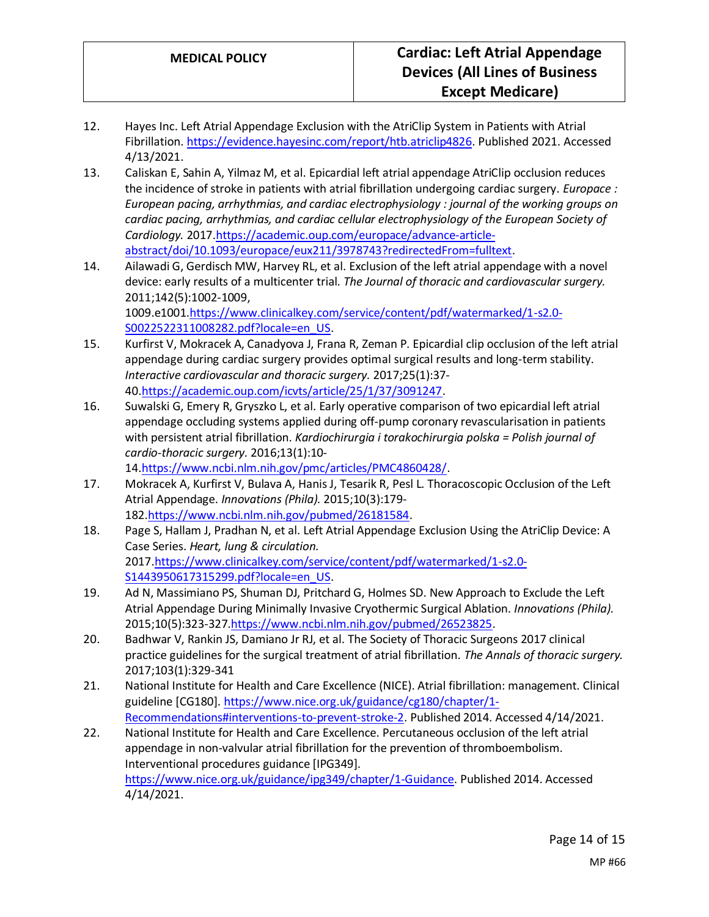- 12. Hayes Inc. Left Atrial Appendage Exclusion with the AtriClip System in Patients with Atrial Fibrillation. [https://evidence.hayesinc.com/report/htb.atriclip4826.](https://evidence.hayesinc.com/report/htb.atriclip4826) Published 2021. Accessed 4/13/2021.
- 13. Caliskan E, Sahin A, Yilmaz M, et al. Epicardial left atrial appendage AtriClip occlusion reduces the incidence of stroke in patients with atrial fibrillation undergoing cardiac surgery. *Europace : European pacing, arrhythmias, and cardiac electrophysiology : journal of the working groups on cardiac pacing, arrhythmias, and cardiac cellular electrophysiology of the European Society of Cardiology.* 2017[.https://academic.oup.com/europace/advance-article](https://academic.oup.com/europace/advance-article-abstract/doi/10.1093/europace/eux211/3978743?redirectedFrom=fulltext)[abstract/doi/10.1093/europace/eux211/3978743?redirectedFrom=fulltext.](https://academic.oup.com/europace/advance-article-abstract/doi/10.1093/europace/eux211/3978743?redirectedFrom=fulltext)
- 14. Ailawadi G, Gerdisch MW, Harvey RL, et al. Exclusion of the left atrial appendage with a novel device: early results of a multicenter trial. *The Journal of thoracic and cardiovascular surgery.*  2011;142(5):1002-1009, 1009.e100[1.https://www.clinicalkey.com/service/content/pdf/watermarked/1-s2.0-](https://www.clinicalkey.com/service/content/pdf/watermarked/1-s2.0-S0022522311008282.pdf?locale=en_US) [S0022522311008282.pdf?locale=en\\_US.](https://www.clinicalkey.com/service/content/pdf/watermarked/1-s2.0-S0022522311008282.pdf?locale=en_US)
- 15. Kurfirst V, Mokracek A, Canadyova J, Frana R, Zeman P. Epicardial clip occlusion of the left atrial appendage during cardiac surgery provides optimal surgical results and long-term stability. *Interactive cardiovascular and thoracic surgery.* 2017;25(1):37- 40[.https://academic.oup.com/icvts/article/25/1/37/3091247.](https://academic.oup.com/icvts/article/25/1/37/3091247)
- 16. Suwalski G, Emery R, Gryszko L, et al. Early operative comparison of two epicardial left atrial appendage occluding systems applied during off-pump coronary revascularisation in patients with persistent atrial fibrillation. *Kardiochirurgia i torakochirurgia polska = Polish journal of cardio-thoracic surgery.* 2016;13(1):10- 14[.https://www.ncbi.nlm.nih.gov/pmc/articles/PMC4860428/.](https://www.ncbi.nlm.nih.gov/pmc/articles/PMC4860428/)
- 17. Mokracek A, Kurfirst V, Bulava A, Hanis J, Tesarik R, Pesl L. Thoracoscopic Occlusion of the Left Atrial Appendage. *Innovations (Phila).* 2015;10(3):179- 182[.https://www.ncbi.nlm.nih.gov/pubmed/26181584.](https://www.ncbi.nlm.nih.gov/pubmed/26181584)
- 18. Page S, Hallam J, Pradhan N, et al. Left Atrial Appendage Exclusion Using the AtriClip Device: A Case Series. *Heart, lung & circulation.*  2017[.https://www.clinicalkey.com/service/content/pdf/watermarked/1-s2.0-](https://www.clinicalkey.com/service/content/pdf/watermarked/1-s2.0-S1443950617315299.pdf?locale=en_US) [S1443950617315299.pdf?locale=en\\_US.](https://www.clinicalkey.com/service/content/pdf/watermarked/1-s2.0-S1443950617315299.pdf?locale=en_US)
- 19. Ad N, Massimiano PS, Shuman DJ, Pritchard G, Holmes SD. New Approach to Exclude the Left Atrial Appendage During Minimally Invasive Cryothermic Surgical Ablation. *Innovations (Phila).*  2015;10(5):323-327[.https://www.ncbi.nlm.nih.gov/pubmed/26523825.](https://www.ncbi.nlm.nih.gov/pubmed/26523825)
- 20. Badhwar V, Rankin JS, Damiano Jr RJ, et al. The Society of Thoracic Surgeons 2017 clinical practice guidelines for the surgical treatment of atrial fibrillation. *The Annals of thoracic surgery.*  2017;103(1):329-341
- 21. National Institute for Health and Care Excellence (NICE). Atrial fibrillation: management. Clinical guideline [CG180]. [https://www.nice.org.uk/guidance/cg180/chapter/1-](https://www.nice.org.uk/guidance/cg180/chapter/1-Recommendations#interventions-to-prevent-stroke-2) [Recommendations#interventions-to-prevent-stroke-2.](https://www.nice.org.uk/guidance/cg180/chapter/1-Recommendations#interventions-to-prevent-stroke-2) Published 2014. Accessed 4/14/2021.
- 22. National Institute for Health and Care Excellence. Percutaneous occlusion of the left atrial appendage in non-valvular atrial fibrillation for the prevention of thromboembolism. Interventional procedures guidance [IPG349]. [https://www.nice.org.uk/guidance/ipg349/chapter/1-Guidance.](https://www.nice.org.uk/guidance/ipg349/chapter/1-Guidance) Published 2014. Accessed 4/14/2021.